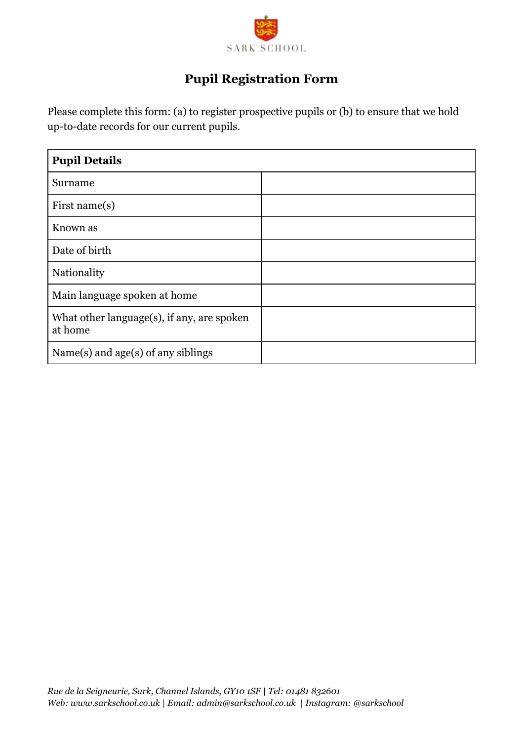

# **Pupil Registration Form**

Please complete this form: (a) to register prospective pupils or (b) to ensure that we hold up-to-date records for our current pupils.

| <b>Pupil Details</b>                                      |  |
|-----------------------------------------------------------|--|
| Surname                                                   |  |
| First name $(s)$                                          |  |
| Known as                                                  |  |
| Date of birth                                             |  |
| Nationality                                               |  |
| Main language spoken at home                              |  |
| What other language $(s)$ , if any, are spoken<br>at home |  |
| Name $(s)$ and age $(s)$ of any siblings                  |  |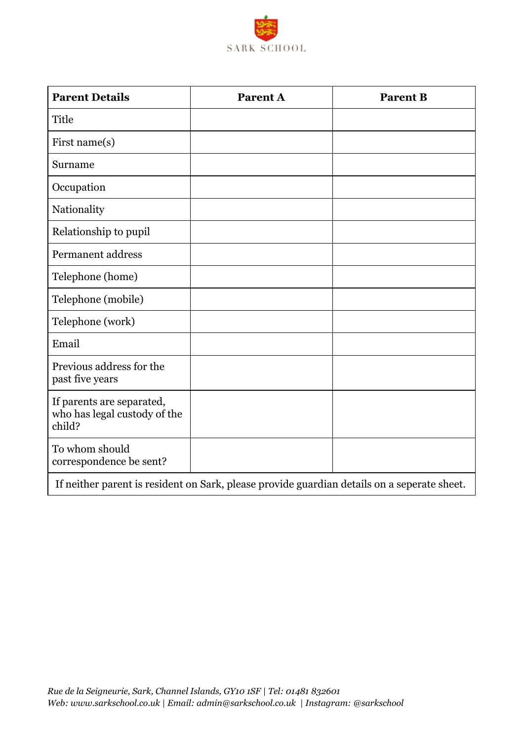

| <b>Parent Details</b>                                               | <b>Parent A</b>                                                                                         | <b>Parent B</b> |
|---------------------------------------------------------------------|---------------------------------------------------------------------------------------------------------|-----------------|
| Title                                                               |                                                                                                         |                 |
| First name(s)                                                       |                                                                                                         |                 |
| Surname                                                             |                                                                                                         |                 |
| Occupation                                                          |                                                                                                         |                 |
| Nationality                                                         |                                                                                                         |                 |
| Relationship to pupil                                               |                                                                                                         |                 |
| Permanent address                                                   |                                                                                                         |                 |
| Telephone (home)                                                    |                                                                                                         |                 |
| Telephone (mobile)                                                  |                                                                                                         |                 |
| Telephone (work)                                                    |                                                                                                         |                 |
| Email                                                               |                                                                                                         |                 |
| Previous address for the<br>past five years                         |                                                                                                         |                 |
| If parents are separated,<br>who has legal custody of the<br>child? |                                                                                                         |                 |
| To whom should<br>correspondence be sent?                           |                                                                                                         |                 |
|                                                                     | The still component to accellent on Archively alone and the film of the film on a second colored the st |                 |

If neither parent is resident on Sark, please provide guardian details on a seperate sheet.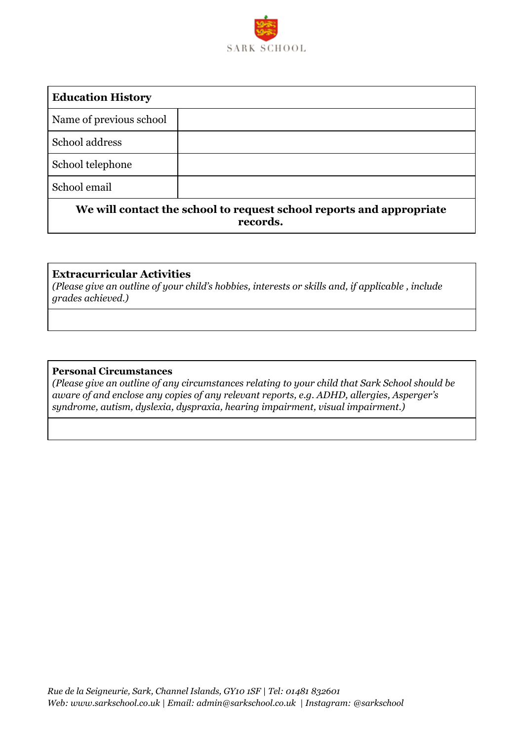

| <b>Education History</b>                                             |  |
|----------------------------------------------------------------------|--|
| Name of previous school                                              |  |
| School address                                                       |  |
| School telephone                                                     |  |
| School email                                                         |  |
| We will contact the school to request school reports and appropriate |  |

**records.**

### **Extracurricular Activities**

*(Please give an outline of your child's hobbies, interests or skills and, if applicable , include grades achieved.)*

#### **Personal Circumstances**

*(Please give an outline of any circumstances relating to your child that Sark School should be aware of and enclose any copies of any relevant reports, e.g. ADHD, allergies, Asperger's syndrome, autism, dyslexia, dyspraxia, hearing impairment, visual impairment.)*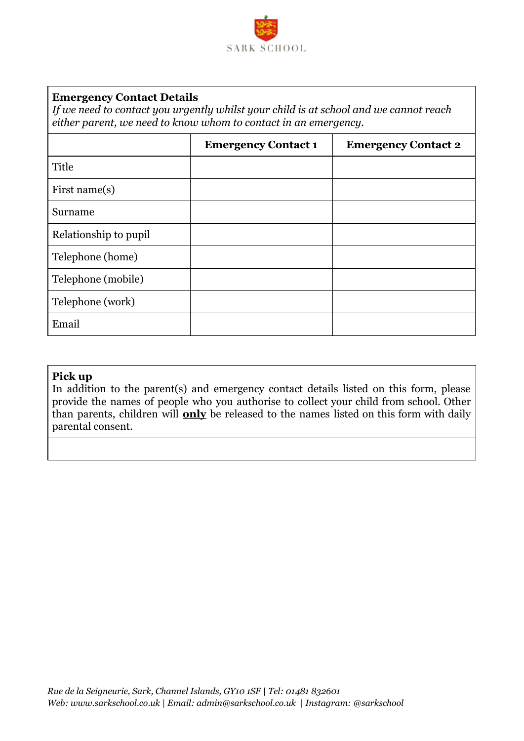

#### **Emergency Contact Details**

*If we need to contact you urgently whilst your child is at school and we cannot reach either parent, we need to know whom to contact in an emergency.*

|                       | <b>Emergency Contact 1</b> | <b>Emergency Contact 2</b> |
|-----------------------|----------------------------|----------------------------|
| Title                 |                            |                            |
| First name $(s)$      |                            |                            |
| Surname               |                            |                            |
| Relationship to pupil |                            |                            |
| Telephone (home)      |                            |                            |
| Telephone (mobile)    |                            |                            |
| Telephone (work)      |                            |                            |
| Email                 |                            |                            |

#### **Pick up**

In addition to the parent(s) and emergency contact details listed on this form, please provide the names of people who you authorise to collect your child from school. Other than parents, children will **only** be released to the names listed on this form with daily parental consent.